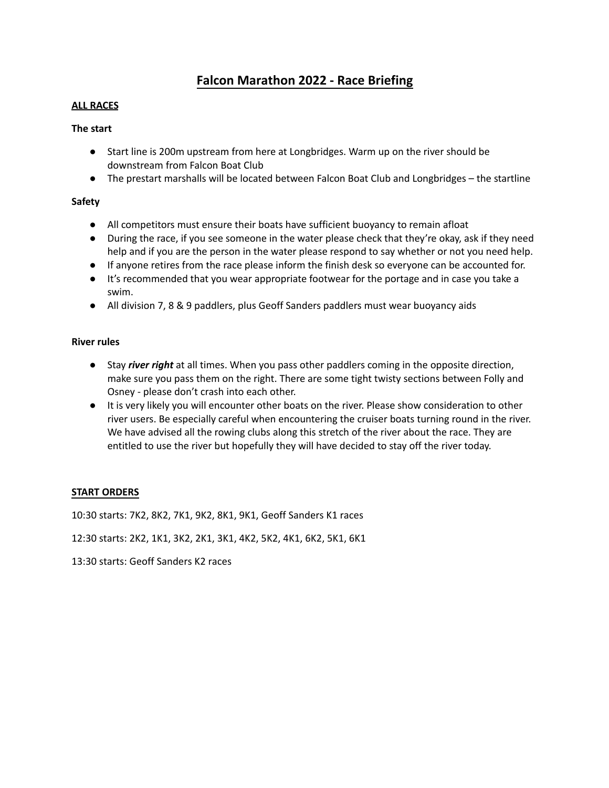# **Falcon Marathon 2022 - Race Briefing**

# **ALL RACES**

# **The start**

- Start line is 200m upstream from here at Longbridges. Warm up on the river should be downstream from Falcon Boat Club
- The prestart marshalls will be located between Falcon Boat Club and Longbridges the startline

# **Safety**

- All competitors must ensure their boats have sufficient buoyancy to remain afloat
- During the race, if you see someone in the water please check that they're okay, ask if they need help and if you are the person in the water please respond to say whether or not you need help.
- If anyone retires from the race please inform the finish desk so everyone can be accounted for.
- It's recommended that you wear appropriate footwear for the portage and in case you take a swim.
- All division 7, 8 & 9 paddlers, plus Geoff Sanders paddlers must wear buoyancy aids

# **River rules**

- Stay *river right* at all times. When you pass other paddlers coming in the opposite direction, make sure you pass them on the right. There are some tight twisty sections between Folly and Osney - please don't crash into each other.
- It is very likely you will encounter other boats on the river. Please show consideration to other river users. Be especially careful when encountering the cruiser boats turning round in the river. We have advised all the rowing clubs along this stretch of the river about the race. They are entitled to use the river but hopefully they will have decided to stay off the river today.

#### **START ORDERS**

10:30 starts: 7K2, 8K2, 7K1, 9K2, 8K1, 9K1, Geoff Sanders K1 races

12:30 starts: 2K2, 1K1, 3K2, 2K1, 3K1, 4K2, 5K2, 4K1, 6K2, 5K1, 6K1

13:30 starts: Geoff Sanders K2 races